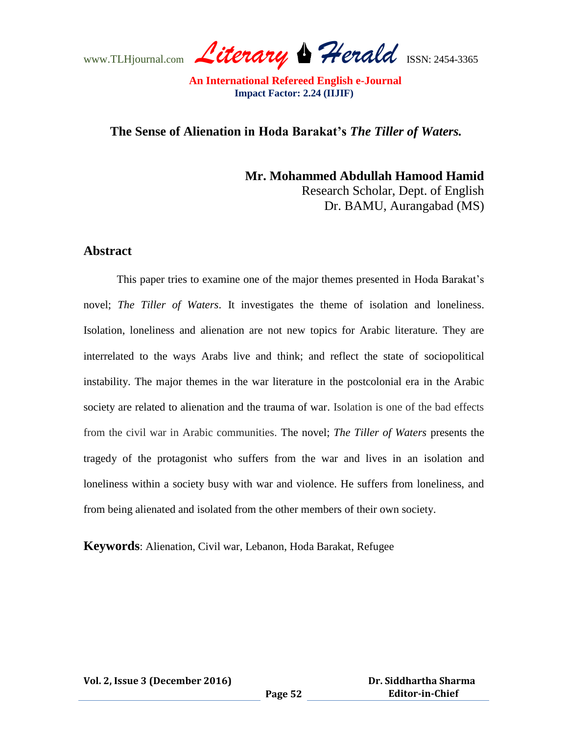www.TLHjournal.com *Literary Herald*ISSN: 2454-3365

# **The Sense of Alienation in Hoda Barakat's** *The Tiller of Waters.*

**Mr. Mohammed Abdullah Hamood Hamid** Research Scholar, Dept. of English Dr. BAMU, Aurangabad (MS)

# **Abstract**

This paper tries to examine one of the major themes presented in Hoda Barakat's novel; *The Tiller of Waters*. It investigates the theme of isolation and loneliness. Isolation, loneliness and alienation are not new topics for Arabic literature. They are interrelated to the ways Arabs live and think; and reflect the state of sociopolitical instability. The major themes in the war literature in the postcolonial era in the Arabic society are related to alienation and the trauma of war. Isolation is one of the bad effects from the civil war in Arabic communities. The novel; *The Tiller of Waters* presents the tragedy of the protagonist who suffers from the war and lives in an isolation and loneliness within a society busy with war and violence. He suffers from loneliness, and from being alienated and isolated from the other members of their own society.

**Keywords**: Alienation, Civil war, Lebanon, Hoda Barakat, Refugee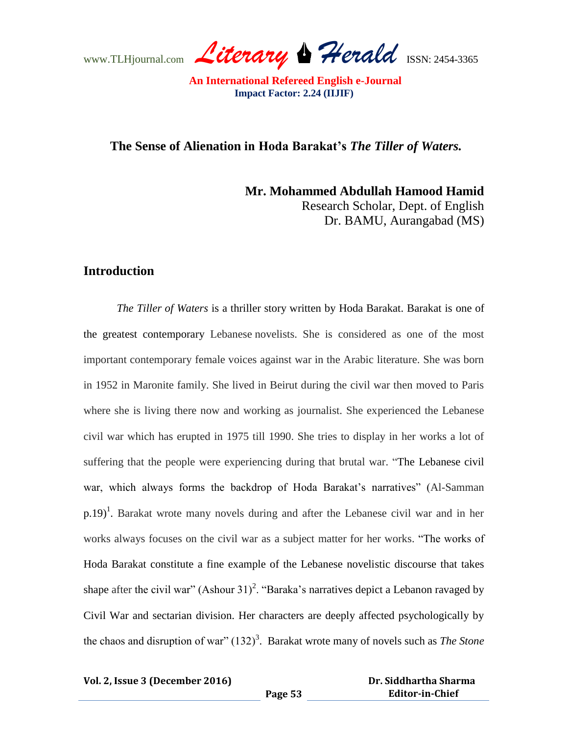www.TLHjournal.com *Literary Herald*ISSN: 2454-3365

# **The Sense of Alienation in Hoda Barakat's** *The Tiller of Waters.*

**Mr. Mohammed Abdullah Hamood Hamid** Research Scholar, Dept. of English Dr. BAMU, Aurangabad (MS)

# **Introduction**

*The Tiller of Waters* is a thriller story written by Hoda Barakat. Barakat is one of the greatest contemporary Lebanese novelists. She is considered as one of the most important contemporary female voices against war in the Arabic literature. She was born in 1952 in Maronite family. She lived in Beirut during the civil war then moved to Paris where she is living there now and working as journalist. She experienced the Lebanese civil war which has erupted in 1975 till 1990. She tries to display in her works a lot of suffering that the people were experiencing during that brutal war. "The Lebanese civil war, which always forms the backdrop of Hoda Barakat's narratives" (Al-Samman  $(p.19)^1$ . Barakat wrote many novels during and after the Lebanese civil war and in her works always focuses on the civil war as a subject matter for her works. "The works of Hoda Barakat constitute a fine example of the Lebanese novelistic discourse that takes shape after the civil war"  $(Ashour 31)^2$ . "Baraka's narratives depict a Lebanon ravaged by Civil War and sectarian division. Her characters are deeply affected psychologically by the chaos and disruption of war"  $(132)^3$ . Barakat wrote many of novels such as *The Stone*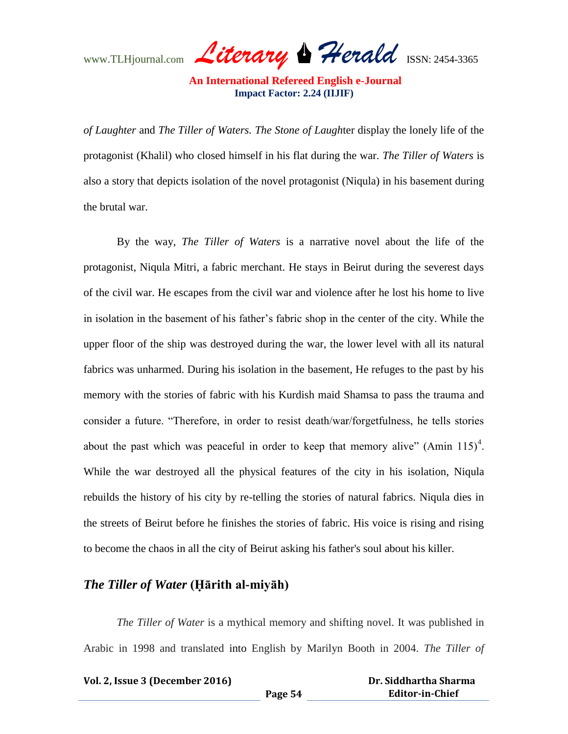www.TLHjournal.com *Literary Herald*ISSN: 2454-3365

*of Laughter* and *The Tiller of Waters. The Stone of Laugh*ter display the lonely life of the protagonist (Khalil) who closed himself in his flat during the war. *The Tiller of Waters* is also a story that depicts isolation of the novel protagonist (Niqula) in his basement during the brutal war.

By the way, *The Tiller of Waters* is a narrative novel about the life of the protagonist, Niqula Mitri, a fabric merchant. He stays in Beirut during the severest days of the civil war. He escapes from the civil war and violence after he lost his home to live in isolation in the basement of his father's fabric shop in the center of the city. While the upper floor of the ship was destroyed during the war, the lower level with all its natural fabrics was unharmed. During his isolation in the basement, He refuges to the past by his memory with the stories of fabric with his Kurdish maid Shamsa to pass the trauma and consider a future. "Therefore, in order to resist death/war/forgetfulness, he tells stories about the past which was peaceful in order to keep that memory alive" (Amin  $115)^4$ . While the war destroyed all the physical features of the city in his isolation, Niqula rebuilds the history of his city by re-telling the stories of natural fabrics. Niqula dies in the streets of Beirut before he finishes the stories of fabric. His voice is rising and rising to become the chaos in all the city of Beirut asking his father's soul about his killer.

# *The Tiller of Water* (Hārith al-miyāh)

*The Tiller of Water* is a mythical memory and shifting novel. It was published in Arabic in 1998 and translated into English by Marilyn Booth in 2004. *The Tiller of* 

| Vol. 2, Issue 3 (December 2016) |         | Dr. Siddhartha Sharma  |
|---------------------------------|---------|------------------------|
|                                 | Page 54 | <b>Editor-in-Chief</b> |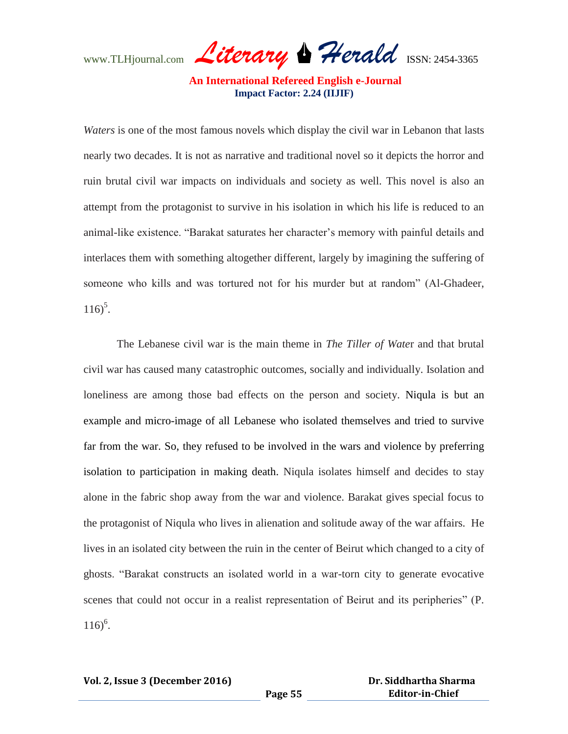www.TLHjournal.com *Literary Herald*ISSN: 2454-3365

*Waters* is one of the most famous novels which display the civil war in Lebanon that lasts nearly two decades. It is not as narrative and traditional novel so it depicts the horror and ruin brutal civil war impacts on individuals and society as well. This novel is also an attempt from the protagonist to survive in his isolation in which his life is reduced to an animal-like existence. "Barakat saturates her character's memory with painful details and interlaces them with something altogether different, largely by imagining the suffering of someone who kills and was tortured not for his murder but at random" (Al-Ghadeer,  $116)^5$ .

The Lebanese civil war is the main theme in *The Tiller of Wate*r and that brutal civil war has caused many catastrophic outcomes, socially and individually. Isolation and loneliness are among those bad effects on the person and society. Niqula is but an example and micro-image of all Lebanese who isolated themselves and tried to survive far from the war. So, they refused to be involved in the wars and violence by preferring isolation to participation in making death. Niqula isolates himself and decides to stay alone in the fabric shop away from the war and violence. Barakat gives special focus to the protagonist of Niqula who lives in alienation and solitude away of the war affairs. He lives in an isolated city between the ruin in the center of Beirut which changed to a city of ghosts. "Barakat constructs an isolated world in a war-torn city to generate evocative scenes that could not occur in a realist representation of Beirut and its peripheries" (P.  $116)^6$ .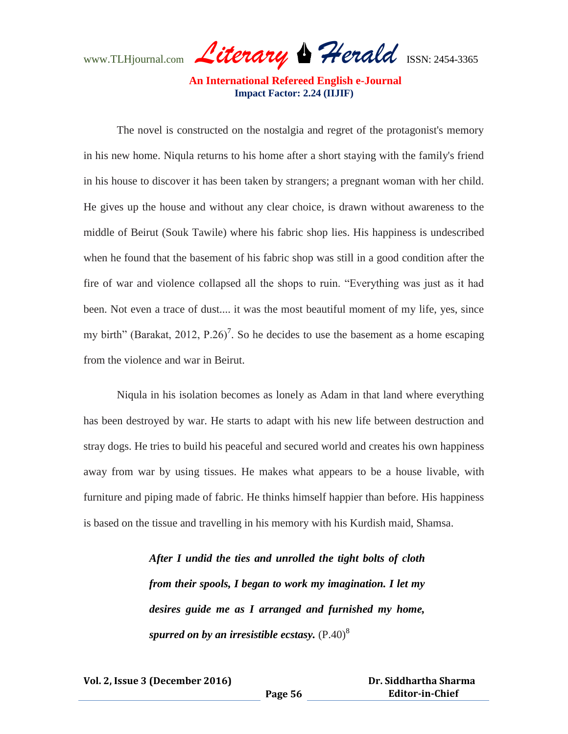www.TLHjournal.com *Literary Herald*ISSN: 2454-3365

The novel is constructed on the nostalgia and regret of the protagonist's memory in his new home. Niqula returns to his home after a short staying with the family's friend in his house to discover it has been taken by strangers; a pregnant woman with her child. He gives up the house and without any clear choice, is drawn without awareness to the middle of Beirut (Souk Tawile) where his fabric shop lies. His happiness is undescribed when he found that the basement of his fabric shop was still in a good condition after the fire of war and violence collapsed all the shops to ruin. "Everything was just as it had been. Not even a trace of dust.... it was the most beautiful moment of my life, yes, since my birth" (Barakat, 2012, P.26)<sup>7</sup>. So he decides to use the basement as a home escaping from the violence and war in Beirut.

Niqula in his isolation becomes as lonely as Adam in that land where everything has been destroyed by war. He starts to adapt with his new life between destruction and stray dogs. He tries to build his peaceful and secured world and creates his own happiness away from war by using tissues. He makes what appears to be a house livable, with furniture and piping made of fabric. He thinks himself happier than before. His happiness is based on the tissue and travelling in his memory with his Kurdish maid, Shamsa.

> *After I undid the ties and unrolled the tight bolts of cloth from their spools, I began to work my imagination. I let my desires guide me as I arranged and furnished my home, spurred on by an irresistible ecstasy.*  $(P.40)^8$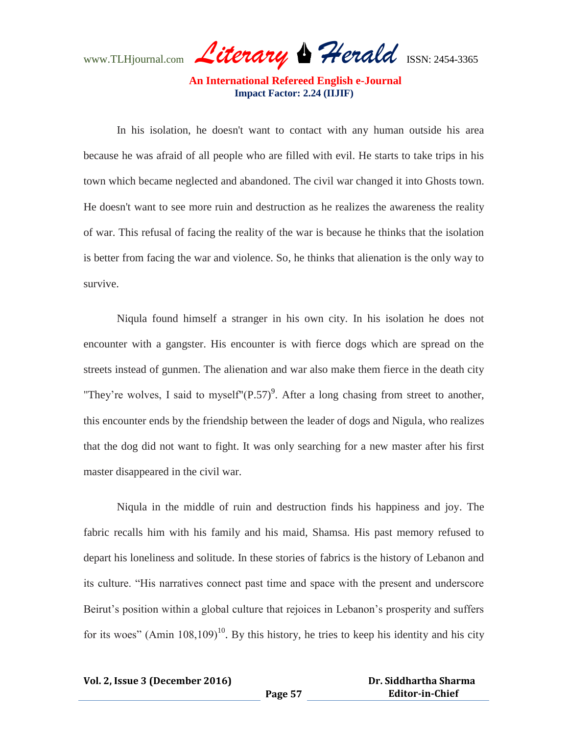www.TLHjournal.com *Literary Herald*ISSN: 2454-3365

In his isolation, he doesn't want to contact with any human outside his area because he was afraid of all people who are filled with evil. He starts to take trips in his town which became neglected and abandoned. The civil war changed it into Ghosts town. He doesn't want to see more ruin and destruction as he realizes the awareness the reality of war. This refusal of facing the reality of the war is because he thinks that the isolation is better from facing the war and violence. So, he thinks that alienation is the only way to survive.

Niqula found himself a stranger in his own city. In his isolation he does not encounter with a gangster. His encounter is with fierce dogs which are spread on the streets instead of gunmen. The alienation and war also make them fierce in the death city "They're wolves, I said to myself" $(P.57)^9$ . After a long chasing from street to another, this encounter ends by the friendship between the leader of dogs and Nigula, who realizes that the dog did not want to fight. It was only searching for a new master after his first master disappeared in the civil war.

Niqula in the middle of ruin and destruction finds his happiness and joy. The fabric recalls him with his family and his maid, Shamsa. His past memory refused to depart his loneliness and solitude. In these stories of fabrics is the history of Lebanon and its culture. "His narratives connect past time and space with the present and underscore Beirut's position within a global culture that rejoices in Lebanon's prosperity and suffers for its woes" (Amin  $108,109$ )<sup>10</sup>. By this history, he tries to keep his identity and his city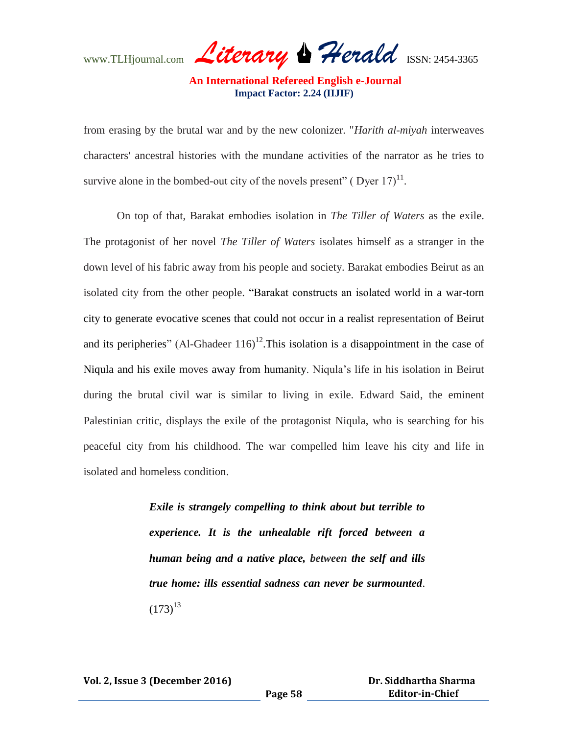www.TLHjournal.com *Literary Herald*ISSN: 2454-3365

from erasing by the brutal war and by the new colonizer. "*Harith al-miyah* interweaves characters' ancestral histories with the mundane activities of the narrator as he tries to survive alone in the bombed-out city of the novels present" (Dyer  $17$ )<sup>11</sup>.

On top of that, Barakat embodies isolation in *The Tiller of Waters* as the exile. The protagonist of her novel *The Tiller of Waters* isolates himself as a stranger in the down level of his fabric away from his people and society. Barakat embodies Beirut as an isolated city from the other people. "Barakat constructs an isolated world in a war-torn city to generate evocative scenes that could not occur in a realist representation of Beirut and its peripheries" (Al-Ghadeer  $116$ )<sup>12</sup>. This isolation is a disappointment in the case of Niqula and his exile moves away from humanity. Niqula's life in his isolation in Beirut during the brutal civil war is similar to living in exile. Edward Said, the eminent Palestinian critic, displays the exile of the protagonist Niqula, who is searching for his peaceful city from his childhood. The war compelled him leave his city and life in isolated and homeless condition.

> *Exile is strangely compelling to think about but terrible to experience. It is the unhealable rift forced between a human being and a native place, between the self and ills true home: ills essential sadness can never be surmounted*.  $(173)^{13}$

**Vol. 2, Issue 3 (December 2016)**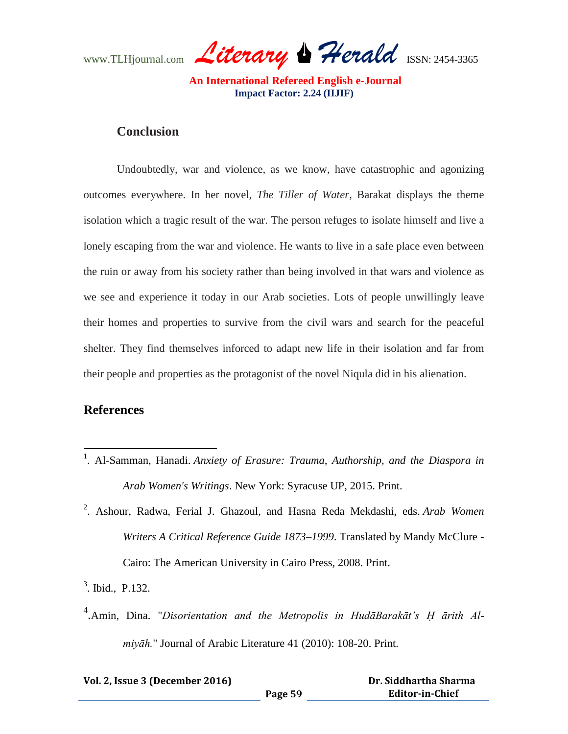www.TLHjournal.com *Literary Herald*ISSN: 2454-3365

# **Conclusion**

Undoubtedly, war and violence, as we know, have catastrophic and agonizing outcomes everywhere. In her novel, *The Tiller of Water,* Barakat displays the theme isolation which a tragic result of the war. The person refuges to isolate himself and live a lonely escaping from the war and violence. He wants to live in a safe place even between the ruin or away from his society rather than being involved in that wars and violence as we see and experience it today in our Arab societies. Lots of people unwillingly leave their homes and properties to survive from the civil wars and search for the peaceful shelter. They find themselves inforced to adapt new life in their isolation and far from their people and properties as the protagonist of the novel Niqula did in his alienation.

# **References**

 $\overline{a}$ 

- <sup>1</sup>. Al-Samman, Hanadi. *Anxiety of Erasure: Trauma, Authorship, and the Diaspora in Arab Women's Writings*. New York: Syracuse UP, 2015. Print.
- 2 . Ashour, Radwa, Ferial J. Ghazoul, and Hasna Reda Mekdashi, eds. *Arab Women Writers A Critical Reference Guide 1873–1999*. Translated by Mandy McClure - Cairo: The American University in Cairo Press, 2008. Print.

3 . Ibid., P.132.

<sup>4</sup>. Amin, Dina. "Disorientation and the Metropolis in HudāBarakāt's H ārith Al*miyāh.*" Journal of Arabic Literature 41 (2010): 108-20. Print.

| Vol. 2, Issue 3 (December 2016) |         | Dr. Siddhartha Sharma  |
|---------------------------------|---------|------------------------|
|                                 | Page 59 | <b>Editor-in-Chief</b> |